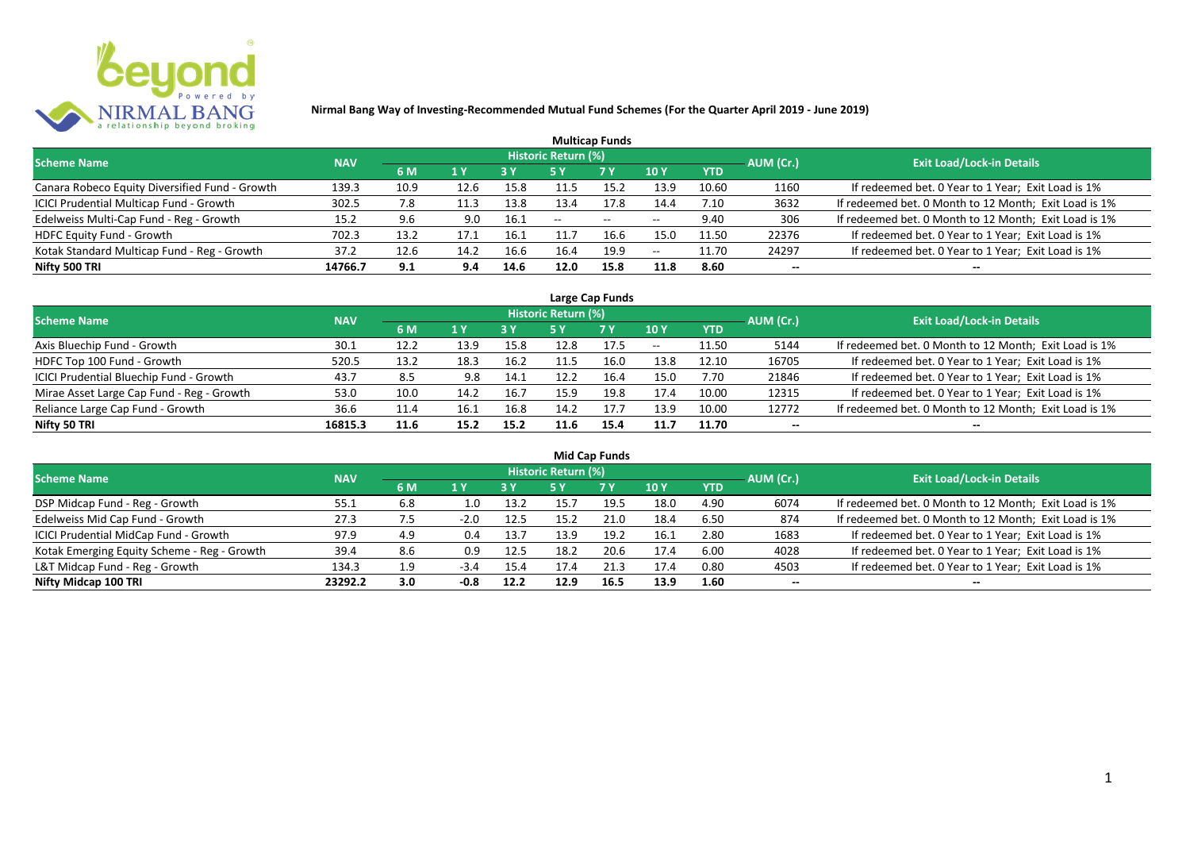

| <b>Multicap Funds</b>                          |            |      |      |            |                     |                          |                          |            |           |                                                       |  |  |  |  |
|------------------------------------------------|------------|------|------|------------|---------------------|--------------------------|--------------------------|------------|-----------|-------------------------------------------------------|--|--|--|--|
| <b>Scheme Name</b>                             | <b>NAV</b> |      |      |            | Historic Return (%) |                          |                          |            | AUM (Cr.) | <b>Exit Load/Lock-in Details</b>                      |  |  |  |  |
|                                                |            | 6 M  | 1 Y  | <b>3 Y</b> |                     | <b>7Y</b>                | <b>10Y</b>               | <b>YTD</b> |           |                                                       |  |  |  |  |
| Canara Robeco Equity Diversified Fund - Growth | 139.3      | 10.9 | 12.6 | 15.8       | 11.5                | 15.2                     | 13.9                     | 10.60      | 1160      | If redeemed bet. 0 Year to 1 Year; Exit Load is 1%    |  |  |  |  |
| ICICI Prudential Multicap Fund - Growth        | 302.5      | 7.8  | 11.3 | 13.8       | 13.4                | 17.8                     | 14.4                     | 7.10       | 3632      | If redeemed bet. 0 Month to 12 Month; Exit Load is 1% |  |  |  |  |
| Edelweiss Multi-Cap Fund - Reg - Growth        | 15.2       | 9.6  | 9.0  | 16.1       | $- -$               | $\overline{\phantom{a}}$ | $\overline{\phantom{m}}$ | 9.40       | 306       | If redeemed bet. 0 Month to 12 Month; Exit Load is 1% |  |  |  |  |
| HDFC Equity Fund - Growth                      | 702.3      | 13.2 | 17.1 | 16.1       |                     | 16.6                     | 15.0                     | 11.50      | 22376     | If redeemed bet. 0 Year to 1 Year; Exit Load is 1%    |  |  |  |  |
| Kotak Standard Multicap Fund - Reg - Growth    | 37.2       | 12.6 | 14.2 | 16.6       | 16.4                | 19.9                     | $\overline{\phantom{a}}$ | 11.70      | 24297     | If redeemed bet. 0 Year to 1 Year; Exit Load is 1%    |  |  |  |  |
| Nifty 500 TRI                                  | 14766.7    | 9.1  | 9.4  | 14.6       | 12.0                | 15.8                     | 11.8                     | 8.60       | $- -$     | --                                                    |  |  |  |  |

| Large Cap Funds                           |            |      |                  |      |                     |           |                          |            |           |                                                       |  |  |  |
|-------------------------------------------|------------|------|------------------|------|---------------------|-----------|--------------------------|------------|-----------|-------------------------------------------------------|--|--|--|
| <b>Scheme Name</b>                        | <b>NAV</b> |      |                  |      | Historic Return (%) |           |                          |            | AUM (Cr.) | <b>Exit Load/Lock-in Details</b>                      |  |  |  |
|                                           |            | 6 M  | $\overline{1}$ Y |      | 5 Y                 | <b>7Y</b> | <b>10Y</b>               | <b>YTD</b> |           |                                                       |  |  |  |
| Axis Bluechip Fund - Growth               | 30.1       | 12.2 | 13.9             | 15.8 | 12.8                | 17.5      | $\overline{\phantom{m}}$ | 11.50      | 5144      | If redeemed bet. 0 Month to 12 Month; Exit Load is 1% |  |  |  |
| HDFC Top 100 Fund - Growth                | 520.5      | 13.2 | 18.3             | 16.2 |                     | 16.0      | 13.8                     | 12.10      | 16705     | If redeemed bet. 0 Year to 1 Year; Exit Load is 1%    |  |  |  |
| ICICI Prudential Bluechip Fund - Growth   | 43.7       | 8.5  | 9.8              | 14.1 | 12.2                | 16.4      | 15.0                     | 7.70       | 21846     | If redeemed bet. 0 Year to 1 Year; Exit Load is 1%    |  |  |  |
| Mirae Asset Large Cap Fund - Reg - Growth | 53.0       | 10.0 | 14.2             | 16.7 | 15.9                | 19.8      | 17.4                     | 10.00      | 12315     | If redeemed bet. 0 Year to 1 Year; Exit Load is 1%    |  |  |  |
| Reliance Large Cap Fund - Growth          | 36.6       | 11.4 | 16.1             | 16.8 | 14.2                | 17.7      | 13.9                     | 10.00      | 12772     | If redeemed bet. 0 Month to 12 Month; Exit Load is 1% |  |  |  |
| Nifty 50 TRI                              | 16815.3    | 11.6 | 15.2             | 15.2 |                     | 15.4      | 11.7                     | 11.70      |           |                                                       |  |  |  |

| <b>Mid Cap Funds</b>                        |            |     |        |      |                            |      |      |            |                          |                                                       |  |  |  |  |
|---------------------------------------------|------------|-----|--------|------|----------------------------|------|------|------------|--------------------------|-------------------------------------------------------|--|--|--|--|
| <b>Scheme Name</b>                          | <b>NAV</b> |     |        |      | <b>Historic Return (%)</b> |      |      |            | AUM (Cr.)                | <b>Exit Load/Lock-in Details</b>                      |  |  |  |  |
|                                             |            | 6 M | 1 Y    | 3 Y  | 5 Y                        | 7 Y  | 10 Y | <b>YTD</b> |                          |                                                       |  |  |  |  |
| DSP Midcap Fund - Reg - Growth              | 55.1       | 6.8 | 1.0    | 13.2 | 15.7                       | 19.5 | 18.0 | 4.90       | 6074                     | If redeemed bet. 0 Month to 12 Month; Exit Load is 1% |  |  |  |  |
| Edelweiss Mid Cap Fund - Growth             | 27.3       | 7.5 | $-2.0$ | 12.5 | 15.2                       | 21.0 | 18.4 | 6.50       | 874                      | If redeemed bet. 0 Month to 12 Month; Exit Load is 1% |  |  |  |  |
| ICICI Prudential MidCap Fund - Growth       | 97.9       | 4.9 | 0.4    | 13.7 | 13.9                       | 19.2 | 16.1 | 2.80       | 1683                     | If redeemed bet. 0 Year to 1 Year; Exit Load is 1%    |  |  |  |  |
| Kotak Emerging Equity Scheme - Reg - Growth | 39.4       | 8.6 | 0.9    | 12.5 | 18.2                       | 20.6 | 17.4 | 6.00       | 4028                     | If redeemed bet. 0 Year to 1 Year; Exit Load is 1%    |  |  |  |  |
| L&T Midcap Fund - Reg - Growth              | 134.3      | 1.9 |        | 15.4 | 17.4                       | 21.3 | 17.4 | 0.80       | 4503                     | If redeemed bet. 0 Year to 1 Year; Exit Load is 1%    |  |  |  |  |
| Nifty Midcap 100 TRI                        | 23292.2    | 3.0 | $-0.8$ | 12.2 | 12.9                       | 16.5 | 13.9 | 1.60       | $\overline{\phantom{a}}$ | --                                                    |  |  |  |  |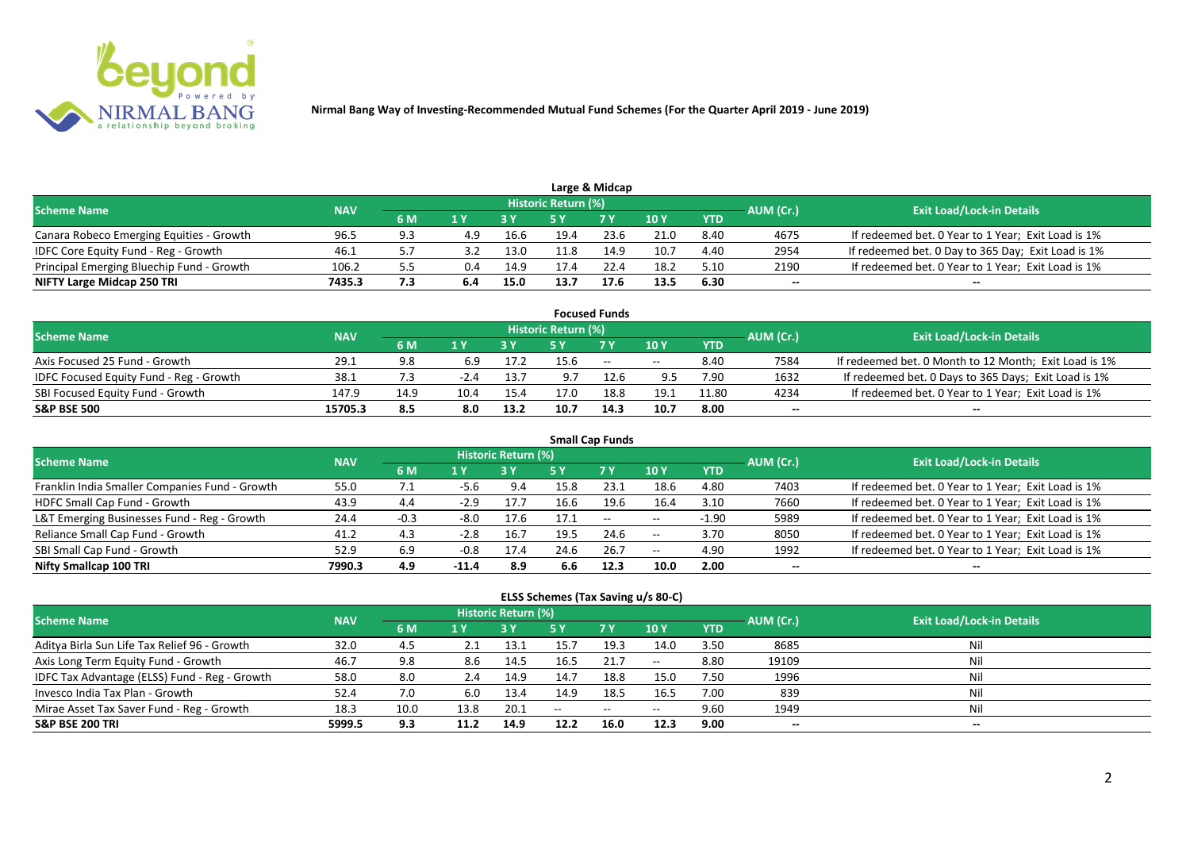

|                                           |            |     |     |      |                            | Large & Midcap |      |            |           |                                                    |
|-------------------------------------------|------------|-----|-----|------|----------------------------|----------------|------|------------|-----------|----------------------------------------------------|
| <b>Scheme Name</b>                        | <b>NAV</b> |     |     |      | <b>Historic Return (%)</b> |                |      |            | AUM (Cr.) | <b>Exit Load/Lock-in Details</b>                   |
|                                           |            | 6 M |     |      |                            | 7 <sub>Y</sub> | 10 Y | <b>YTD</b> |           |                                                    |
| Canara Robeco Emerging Equities - Growth  | 96.5       | 9.3 | 4.9 | 16.6 | 19.4                       | 23.6           | 21.0 | 8.40       | 4675      | If redeemed bet. 0 Year to 1 Year; Exit Load is 1% |
| IDFC Core Equity Fund - Reg - Growth      | 46.1       |     |     | 13.0 | 11.8                       | 14.9           | 10.7 | 4.40       | 2954      | If redeemed bet. 0 Day to 365 Day; Exit Load is 1% |
| Principal Emerging Bluechip Fund - Growth | 106.2      |     | 0.4 | 14.9 | 17.4                       | 22.4           | 18.2 | 5.10       | 2190      | If redeemed bet. 0 Year to 1 Year; Exit Load is 1% |
| NIFTY Large Midcap 250 TRI                | 7435.3     | 7.3 |     | 15.0 | 13.7                       | 17.6           | 13.5 | 6.30       | --        | $- -$                                              |

| <b>Focused Funds</b>                           |            |      |        |      |                     |        |       |            |           |                                                       |  |  |  |
|------------------------------------------------|------------|------|--------|------|---------------------|--------|-------|------------|-----------|-------------------------------------------------------|--|--|--|
| <b>Scheme Name</b>                             | <b>NAV</b> |      |        |      | Historic Return (%) |        |       |            | AUM (Cr.) | <b>Exit Load/Lock-in Details</b>                      |  |  |  |
|                                                |            | 6 M  | 1 V    |      |                     | 7 Y    | 10Y   | <b>YTD</b> |           |                                                       |  |  |  |
| Axis Focused 25 Fund - Growth                  | 29.1       | 9.8  | 6.9    | 17.2 | 15.6                | $\sim$ | $- -$ | 8.40       | 7584      | If redeemed bet. 0 Month to 12 Month; Exit Load is 1% |  |  |  |
| <b>IDFC Focused Equity Fund - Reg - Growth</b> | 38.1       | ".3  | $-2.4$ | 13.7 | 9.7                 | 12.6   | 9.5   | 7.90       | 1632      | If redeemed bet. 0 Days to 365 Days; Exit Load is 1%  |  |  |  |
| SBI Focused Equity Fund - Growth               | 147.9      | 14.9 | 10.4   | 15.4 | 17.0                | 18.8   | 19.1  | 11.80      | 4234      | If redeemed bet. 0 Year to 1 Year; Exit Load is 1%    |  |  |  |
| <b>S&amp;P BSE 500</b>                         | 15705.3    | 8.5  | 8.0    | 13.2 | 10.7                | 14.3   | 10.7  | 8.00       | --        | --                                                    |  |  |  |

| <b>Small Cap Funds</b>                         |            |        |         |                     |      |           |       |            |           |                                                    |  |  |  |
|------------------------------------------------|------------|--------|---------|---------------------|------|-----------|-------|------------|-----------|----------------------------------------------------|--|--|--|
| <b>Scheme Name</b>                             | <b>NAV</b> |        |         | Historic Return (%) |      |           |       |            | AUM (Cr.) | <b>Exit Load/Lock-in Details</b>                   |  |  |  |
|                                                |            | 6 M    | 1 Y     |                     | 5 Y  | <b>7Y</b> | 10Y   | <b>YTD</b> |           |                                                    |  |  |  |
| Franklin India Smaller Companies Fund - Growth | 55.0       | 7.1    | -5.6    | 9.4                 | 15.8 | 23.1      | 18.6  | 4.80       | 7403      | If redeemed bet. 0 Year to 1 Year; Exit Load is 1% |  |  |  |
| HDFC Small Cap Fund - Growth                   | 43.9       | 4.4    | $-2.9$  | 17.7                | 16.6 | 19.6      | 16.4  | 3.10       | 7660      | If redeemed bet. 0 Year to 1 Year; Exit Load is 1% |  |  |  |
| L&T Emerging Businesses Fund - Reg - Growth    | 24.4       | $-0.3$ | $-8.0$  | 17.6                | 17.1 | $--$      | $- -$ | $-1.90$    | 5989      | If redeemed bet. 0 Year to 1 Year; Exit Load is 1% |  |  |  |
| Reliance Small Cap Fund - Growth               | 41.2       | 4.3    | $-2.8$  | 16.7                | 19.5 | 24.6      | $- -$ | 3.70       | 8050      | If redeemed bet. 0 Year to 1 Year; Exit Load is 1% |  |  |  |
| SBI Small Cap Fund - Growth                    | 52.9       | 6.9    | $-0.8$  | 17.4                | 24.6 | 26.7      | $- -$ | 4.90       | 1992      | If redeemed bet. 0 Year to 1 Year; Exit Load is 1% |  |  |  |
| Nifty Smallcap 100 TRI                         | 7990.3     | 4.9    | $-11.4$ | 8.9                 | 6.6  | 12.3      | 10.0  | 2.00       | --        |                                                    |  |  |  |

#### **ELSS Schemes (Tax Saving u/s 80-C)**

| <b>Scheme Name</b>                            | <b>NAV</b> |      |      | <b>Historic Return (%)</b> |      |           |                 |            | AUM (Cr.)                | <b>Exit Load/Lock-in Details</b> |
|-----------------------------------------------|------------|------|------|----------------------------|------|-----------|-----------------|------------|--------------------------|----------------------------------|
|                                               |            | 6 M  | 1 Y  |                            | 5 Y  | <b>7Y</b> | 10 <sub>Y</sub> | <b>YTD</b> |                          |                                  |
| Aditya Birla Sun Life Tax Relief 96 - Growth  | 32.0       | 4.5  |      | 13.1                       | 15.7 | 19.3      | 14.0            | 3.50       | 8685                     | Nil                              |
| Axis Long Term Equity Fund - Growth           | 46.7       | 9.8  | 8.6  | 14.5                       | 16.5 | 21.7      | $- -$           | 8.80       | 19109                    | Nil                              |
| IDFC Tax Advantage (ELSS) Fund - Reg - Growth | 58.0       | 8.0  | 2.4  | 14.9                       | 14.7 | 18.8      | 15.0            | 7.50       | 1996                     | Nil                              |
| Invesco India Tax Plan - Growth               | 52.4       | 7.0  | 6.0  | 13.4                       | 14.9 | 18.5      | 16.5            | 7.00       | 839                      | Nil                              |
| Mirae Asset Tax Saver Fund - Reg - Growth     | 18.3       | 10.0 | 13.8 | 20.1                       | $-$  | $--$      | $- -$           | 9.60       | 1949                     | Nil                              |
| <b>S&amp;P BSE 200 TRI</b>                    | 5999.5     | 9.3  |      | 14.9                       | 12.2 | 16.0      | 12.3            | 9.00       | $\overline{\phantom{a}}$ | $- -$                            |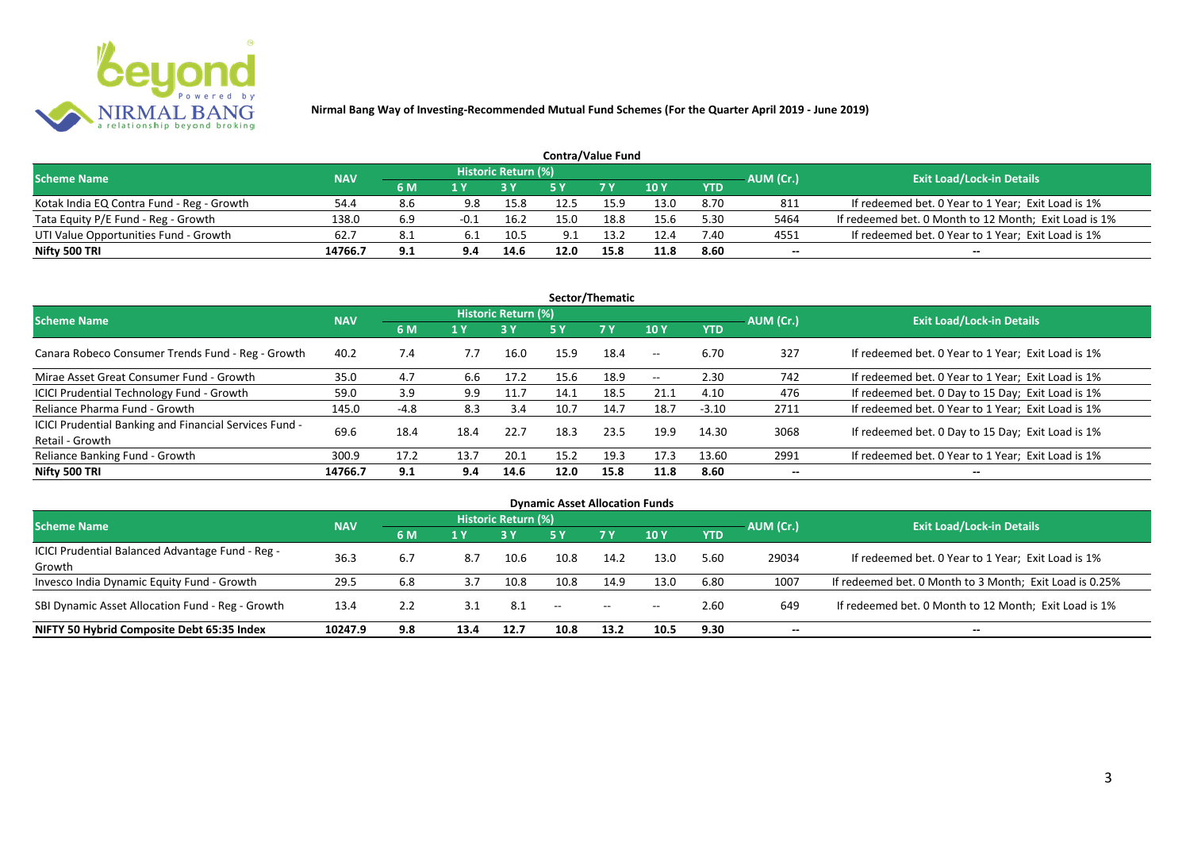

| <b>Contra/Value Fund</b>                  |            |     |      |                     |      |            |      |            |           |                                                       |  |  |  |
|-------------------------------------------|------------|-----|------|---------------------|------|------------|------|------------|-----------|-------------------------------------------------------|--|--|--|
| <b>Scheme Name</b>                        | <b>NAV</b> |     |      | Historic Return (%) |      |            |      |            | AUM (Cr.) | <b>Exit Load/Lock-in Details</b>                      |  |  |  |
|                                           |            | 6 M |      |                     |      | <b>7 Y</b> | 10Y  | <b>YTD</b> |           |                                                       |  |  |  |
| Kotak India EQ Contra Fund - Reg - Growth | 54.4       | 8.b | 9.8  | 15.8                | 12.5 | 15.9       | 13.0 | 8.70       | 811       | If redeemed bet. 0 Year to 1 Year; Exit Load is 1%    |  |  |  |
| Tata Equity P/E Fund - Reg - Growth       | 138.0      | 6.9 | -0.⊥ | 16.2                | 15.0 | 18.8       | 15.6 | 5.30       | 5464      | If redeemed bet. 0 Month to 12 Month; Exit Load is 1% |  |  |  |
| UTI Value Opportunities Fund - Growth     | 62.7       | 8.1 |      | 10.5                | 9.1  | ່າເງ       | 12.4 | 7.40       | 4551      | If redeemed bet. 0 Year to 1 Year; Exit Load is 1%    |  |  |  |
| Nifty 500 TRI                             | 14766.7    | 9.1 | 9.4  | 14.6                | 12.0 | 15.8       | 11.8 | 8.60       | --        | $- -$                                                 |  |  |  |

| Sector/Thematic                                                           |            |      |                          |                            |      |           |                          |            |           |                                                    |  |  |  |
|---------------------------------------------------------------------------|------------|------|--------------------------|----------------------------|------|-----------|--------------------------|------------|-----------|----------------------------------------------------|--|--|--|
| <b>Scheme Name</b>                                                        | <b>NAV</b> |      |                          | <b>Historic Return (%)</b> |      |           |                          |            | AUM (Cr.) | <b>Exit Load/Lock-in Details</b>                   |  |  |  |
|                                                                           |            | 6 M  | 1 Y<br><b>3 Y</b><br>5 Y |                            |      | <b>7Y</b> | <b>10Y</b>               | <b>YTD</b> |           |                                                    |  |  |  |
| Canara Robeco Consumer Trends Fund - Reg - Growth                         | 40.2       | 7.4  | 7.7                      | 16.0                       | 15.9 | 18.4      | $\sim$ $-$               | 6.70       | 327       | If redeemed bet. 0 Year to 1 Year; Exit Load is 1% |  |  |  |
| Mirae Asset Great Consumer Fund - Growth                                  | 35.0       | 4.7  | 6.6                      | 17.2                       | 15.6 | 18.9      | $\overline{\phantom{a}}$ | 2.30       | 742       | If redeemed bet. 0 Year to 1 Year; Exit Load is 1% |  |  |  |
| <b>ICICI Prudential Technology Fund - Growth</b>                          | 59.0       | 3.9  | 9.9                      | 11.7                       | 14.1 | 18.5      | 21.1                     | 4.10       | 476       | If redeemed bet. 0 Day to 15 Day; Exit Load is 1%  |  |  |  |
| Reliance Pharma Fund - Growth                                             | 145.0      | -4.8 | 8.3                      | 3.4                        | 10.7 | 14.7      | 18.7                     | $-3.10$    | 2711      | If redeemed bet. 0 Year to 1 Year; Exit Load is 1% |  |  |  |
| ICICI Prudential Banking and Financial Services Fund -<br>Retail - Growth | 69.6       | 18.4 | 18.4                     | 22.7                       | 18.3 | 23.5      | 19.9                     | 14.30      | 3068      | If redeemed bet. 0 Day to 15 Day; Exit Load is 1%  |  |  |  |
| Reliance Banking Fund - Growth                                            | 300.9      | 17.2 | 13.7                     | 20.1                       | 15.2 | 19.3      | 17.3                     | 13.60      | 2991      | If redeemed bet. 0 Year to 1 Year; Exit Load is 1% |  |  |  |
| Nifty 500 TRI                                                             | 14766.7    | 9.1  | 9.4                      | 14.6                       | 12.0 | 15.8      | 11.8                     | 8.60       | $- -$     | $\overline{\phantom{a}}$                           |  |  |  |

| <b>Dynamic Asset Allocation Funds</b>            |            |                                                                         |      |                            |      |       |       |      |       |                                                         |  |  |  |
|--------------------------------------------------|------------|-------------------------------------------------------------------------|------|----------------------------|------|-------|-------|------|-------|---------------------------------------------------------|--|--|--|
| <b>Scheme Name</b>                               | <b>NAV</b> |                                                                         |      | <b>Historic Return (%)</b> |      |       |       |      |       | <b>Exit Load/Lock-in Details</b>                        |  |  |  |
|                                                  |            | AUM (Cr.)<br><b>7Y</b><br><b>10Y</b><br><b>YTD</b><br>6 M<br>1 Y<br>5 Y |      |                            |      |       |       |      |       |                                                         |  |  |  |
| ICICI Prudential Balanced Advantage Fund - Reg - |            |                                                                         |      |                            |      |       |       |      |       |                                                         |  |  |  |
| Growth                                           | 36.3       | 6.7                                                                     | 8.7  | 10.6                       | 10.8 | 14.2  | 13.0  | 5.60 | 29034 | If redeemed bet. 0 Year to 1 Year; Exit Load is 1%      |  |  |  |
| Invesco India Dynamic Equity Fund - Growth       | 29.5       | 6.8                                                                     | 3.7  | 10.8                       | 10.8 | 14.9  | 13.0  | 6.80 | 1007  | If redeemed bet. 0 Month to 3 Month; Exit Load is 0.25% |  |  |  |
| SBI Dynamic Asset Allocation Fund - Reg - Growth | 13.4       | 2.2                                                                     | 3.1  | 8.1                        | --   | $- -$ | $- -$ | 2.60 | 649   | If redeemed bet. 0 Month to 12 Month; Exit Load is 1%   |  |  |  |
| NIFTY 50 Hybrid Composite Debt 65:35 Index       | 10247.9    | 9.8                                                                     | 13.4 | 12.7                       | 10.8 | 13.2  | 10.5  | 9.30 | --    | $- -$                                                   |  |  |  |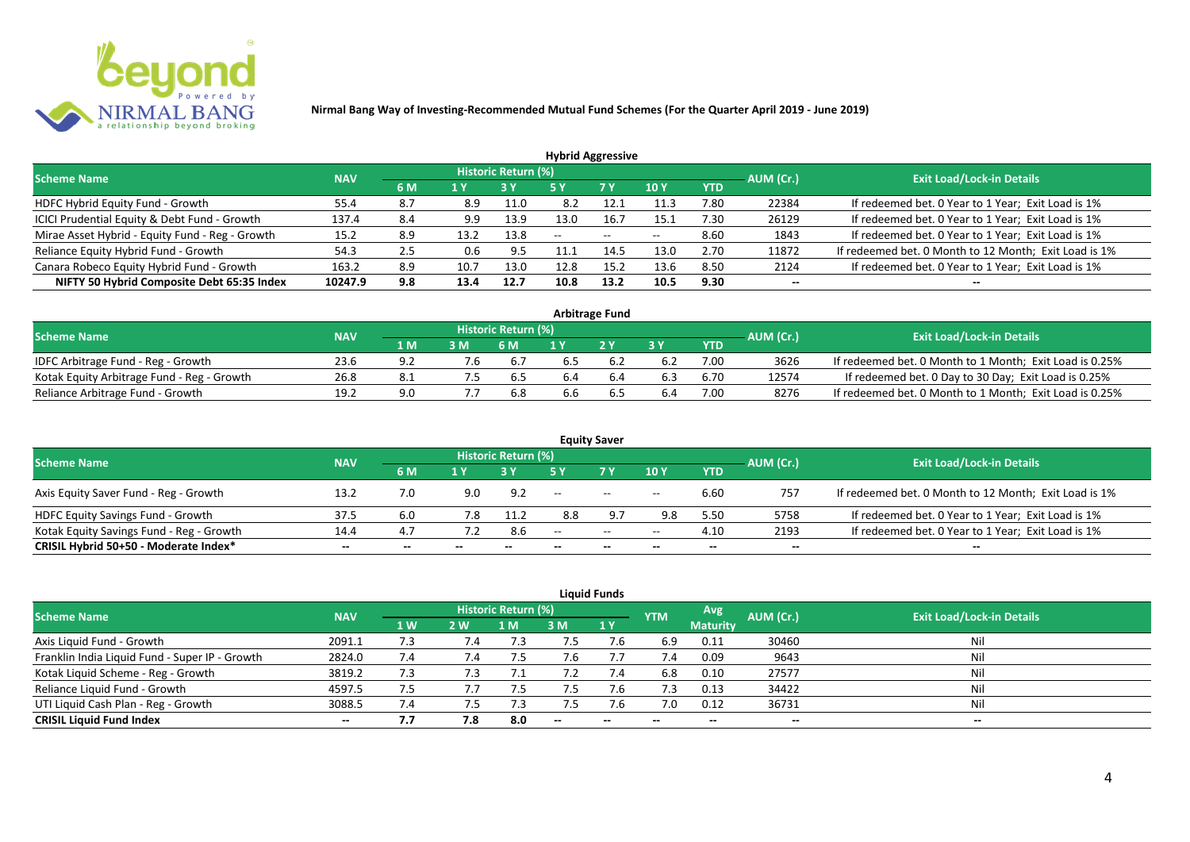

| <b>Hybrid Aggressive</b>                        |            |     |      |                            |      |       |             |            |           |                                                       |  |  |  |
|-------------------------------------------------|------------|-----|------|----------------------------|------|-------|-------------|------------|-----------|-------------------------------------------------------|--|--|--|
| <b>Scheme Name</b>                              | <b>NAV</b> |     |      | <b>Historic Return (%)</b> |      |       |             |            | AUM (Cr.) | <b>Exit Load/Lock-in Details</b>                      |  |  |  |
|                                                 |            | 6 M | 1 Y  |                            | 5 Y  | 7 Y   | <b>10 Y</b> | <b>YTD</b> |           |                                                       |  |  |  |
| HDFC Hybrid Equity Fund - Growth                | 55.4       | 8.7 | 8.9  | 11.0                       | 8.2  |       | 11.3        | 7.80       | 22384     | If redeemed bet. 0 Year to 1 Year; Exit Load is 1%    |  |  |  |
| ICICI Prudential Equity & Debt Fund - Growth    | 137.4      | 8.4 | 9.9  | 13.9                       | 13.0 | 16.7  | 15.1        | 7.30       | 26129     | If redeemed bet. 0 Year to 1 Year; Exit Load is 1%    |  |  |  |
| Mirae Asset Hybrid - Equity Fund - Reg - Growth | 15.2       | 8.9 | 13.2 | 13.8                       | --   | $- -$ | $-$         | 8.60       | 1843      | If redeemed bet. 0 Year to 1 Year; Exit Load is 1%    |  |  |  |
| Reliance Equity Hybrid Fund - Growth            | 54.3       | 2.5 | 0.6  | -9.5                       |      | 14.5  | 13.0        | 2.70       | 11872     | If redeemed bet. 0 Month to 12 Month; Exit Load is 1% |  |  |  |
| Canara Robeco Equity Hybrid Fund - Growth       | 163.2      | 8.9 | 10.7 | 13.0                       | 12.8 | 15.2  | 13.6        | 8.50       | 2124      | If redeemed bet. 0 Year to 1 Year; Exit Load is 1%    |  |  |  |
| NIFTY 50 Hybrid Composite Debt 65:35 Index      | 10247.9    | 9.8 | 13.4 | 12.7                       | 10.8 | 13.2  | 10.5        | 9.30       | $- -$     |                                                       |  |  |  |
|                                                 |            |     |      |                            |      |       |             |            |           |                                                       |  |  |  |

| <b>Arbitrage Fund</b>                      |            |      |     |                     |     |     |     |            |           |                                                         |  |  |  |
|--------------------------------------------|------------|------|-----|---------------------|-----|-----|-----|------------|-----------|---------------------------------------------------------|--|--|--|
| <b>Scheme Name</b>                         | <b>NAV</b> |      |     | Historic Return (%) |     |     |     |            | AUM (Cr.) | <b>Exit Load/Lock-in Details</b>                        |  |  |  |
|                                            |            | 1 M/ | 3M  | 6 M                 |     | 2V  |     | <b>YTD</b> |           |                                                         |  |  |  |
| IDFC Arbitrage Fund - Reg - Growth         | 23.6       |      |     | 6.7                 |     |     |     | 7.00       | 3626      | If redeemed bet. 0 Month to 1 Month; Exit Load is 0.25% |  |  |  |
| Kotak Equity Arbitrage Fund - Reg - Growth | 26.8       | 8.1  | כ.י | 6.5                 | 6.4 | b.4 | 6.3 | 6.70       | 12574     | If redeemed bet. 0 Day to 30 Day; Exit Load is 0.25%    |  |  |  |
| Reliance Arbitrage Fund - Growth           | 19.2       | 9.0  |     | 6.8                 | 6.6 | כ.ס |     | 7.00       | 8276      | If redeemed bet. 0 Month to 1 Month; Exit Load is 0.25% |  |  |  |

|                                          |            |     |     |                     |       | <b>Equity Saver</b> |       |            |           |                                                       |
|------------------------------------------|------------|-----|-----|---------------------|-------|---------------------|-------|------------|-----------|-------------------------------------------------------|
| <b>Scheme Name</b>                       | <b>NAV</b> |     |     | Historic Return (%) |       |                     |       |            |           | <b>Exit Load/Lock-in Details</b>                      |
|                                          |            | 6 M | 1 V |                     |       | 7 Y.                | 10Y   | <b>YTD</b> | AUM (Cr.) |                                                       |
| Axis Equity Saver Fund - Reg - Growth    | 13.2       | 7.0 | 9.0 | 9.2                 | $- -$ | $\sim$              | $- -$ | 6.60       | 757       | If redeemed bet. 0 Month to 12 Month; Exit Load is 1% |
| HDFC Equity Savings Fund - Growth        | 37.5       | 6.0 |     | 11.2                | 8.8   |                     | 9.8   | 5.50       | 5758      | If redeemed bet. 0 Year to 1 Year; Exit Load is 1%    |
| Kotak Equity Savings Fund - Reg - Growth | 14.4       | 4.7 |     | 8.6                 | $-$   | $  \,$              | $- -$ | 4.10       | 2193      | If redeemed bet. 0 Year to 1 Year; Exit Load is 1%    |
| CRISIL Hybrid 50+50 - Moderate Index*    | $- -$      | --  | $-$ | $- -$               | --    | --                  | $- -$ | $- -$      | $-$       | $- -$                                                 |

|                                                |            |           |            |                     |      | <b>Liquid Funds</b> |            |                 |                          |                                  |
|------------------------------------------------|------------|-----------|------------|---------------------|------|---------------------|------------|-----------------|--------------------------|----------------------------------|
| Scheme Name                                    | <b>NAV</b> |           |            | Historic Return (%) |      |                     | <b>YTM</b> | Avg.            | AUM (Cr.)                | <b>Exit Load/Lock-in Details</b> |
|                                                |            | <b>1W</b> | <b>2 W</b> | 1 M                 | 3 M  | 1Y                  |            | <b>Maturity</b> |                          |                                  |
| Axis Liquid Fund - Growth                      | 2091.1     | 7.3       | 7.4        | :. /                | כ. / | 7.6                 | 6.9        | 0.11            | 30460                    | Nil                              |
| Franklin India Liquid Fund - Super IP - Growth | 2824.0     | 7.4       | 7.4        | 7.5                 | 7.6  |                     | 7.4        | 0.09            | 9643                     | Nil                              |
| Kotak Liquid Scheme - Reg - Growth             | 3819.2     | 7.3       | 7.3        |                     |      | 7.4                 | 6.8        | 0.10            | 27577                    | Nil                              |
| Reliance Liquid Fund - Growth                  | 4597.5     | 7.5       |            | 7.5                 | 7.5  | 7.6                 | 7.3        | 0.13            | 34422                    | Nil                              |
| UTI Liquid Cash Plan - Reg - Growth            | 3088.5     | 7.4       |            | 7.3                 | 7.5  | 7.6                 | 7.0        | 0.12            | 36731                    | Nil                              |
| <b>CRISIL Liquid Fund Index</b>                | $- -$      | 7.7       | 7.8        | 8.0                 | $-$  | $- -$               | $- -$      | --              | $\overline{\phantom{a}}$ | $-$                              |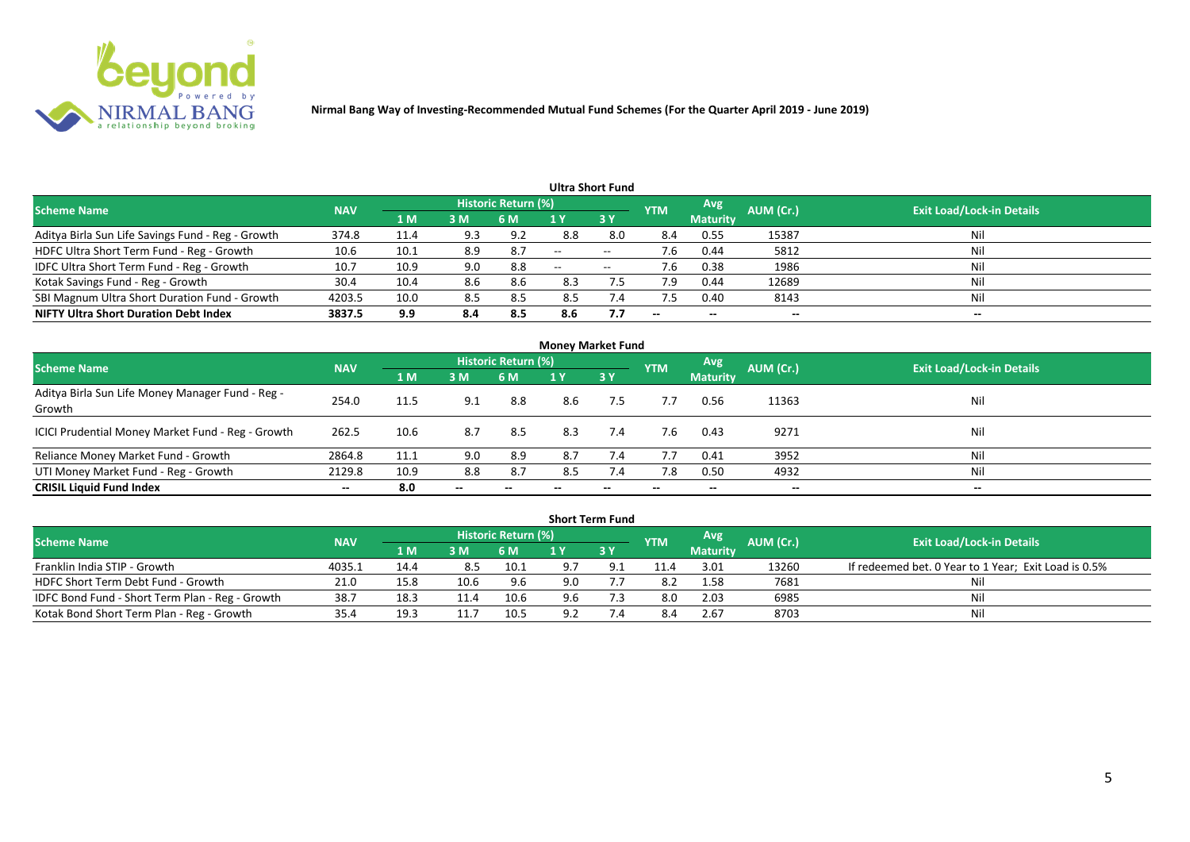

|                                                   |            |      |     |                            |       | <b>Ultra Short Fund</b> |                          |                 |           |                                  |
|---------------------------------------------------|------------|------|-----|----------------------------|-------|-------------------------|--------------------------|-----------------|-----------|----------------------------------|
| <b>Scheme Name</b>                                | <b>NAV</b> |      |     | <b>Historic Return (%)</b> |       |                         | <b>YTM</b>               | Avg             | AUM (Cr.) | <b>Exit Load/Lock-in Details</b> |
|                                                   |            | 1 M  | 3M  | 6 M                        |       | 3Y                      |                          | <b>Maturity</b> |           |                                  |
| Aditya Birla Sun Life Savings Fund - Reg - Growth | 374.8      | 11.4 | 9.3 | 9.2                        | 8.8   | 8.0                     | 8.4                      | 0.55            | 15387     | Nil                              |
| HDFC Ultra Short Term Fund - Reg - Growth         | 10.6       | 10.1 | 8.9 | 8.7                        | $-$   | $- -$                   | 7.6                      | 0.44            | 5812      | Nil                              |
| IDFC Ultra Short Term Fund - Reg - Growth         | 10.7       | 10.9 | 9.0 | 8.8                        | $- -$ | $\hspace{0.05cm}$       | 7.6                      | 0.38            | 1986      | Nil                              |
| Kotak Savings Fund - Reg - Growth                 | 30.4       | 10.4 | 8.6 | 8.6                        | 8.3   |                         | 7.9                      | 0.44            | 12689     | Nil                              |
| SBI Magnum Ultra Short Duration Fund - Growth     | 4203.5     | 10.0 | 8.5 | 8.5                        | 8.5   | 7.4                     |                          | 0.40            | 8143      | Nil                              |
| <b>NIFTY Ultra Short Duration Debt Index</b>      | 3837.5     | 9.9  | 8.4 | 8.5                        | 8.6   | 7.7                     | $\overline{\phantom{a}}$ | $- -$           | --        | $- -$                            |

|                                                            |            |                |       |                     | <b>Money Market Fund</b> |           |            |                 |           |                                  |
|------------------------------------------------------------|------------|----------------|-------|---------------------|--------------------------|-----------|------------|-----------------|-----------|----------------------------------|
| <b>Scheme Name</b>                                         | <b>NAV</b> |                |       | Historic Return (%) |                          |           | <b>YTM</b> | Avg             | AUM (Cr.) | <b>Exit Load/Lock-in Details</b> |
|                                                            |            | 1 <sub>M</sub> | 3 M   | 6 M                 | 1 Y                      | <b>3Y</b> |            | <b>Maturity</b> |           |                                  |
| Aditya Birla Sun Life Money Manager Fund - Reg -<br>Growth | 254.0      | 11.5           | 9.1   | 8.8                 | 8.6                      | 7.5       | 7.7        | 0.56            | 11363     | Nil                              |
| ICICI Prudential Money Market Fund - Reg - Growth          | 262.5      | 10.6           | 8.7   | 8.5                 | 8.3                      | 7.4       | 7.6        | 0.43            | 9271      | Nil                              |
| Reliance Money Market Fund - Growth                        | 2864.8     | 11.1           | 9.0   | 8.9                 | 8.7                      | 7.4       | 7.7        | 0.41            | 3952      | Nil                              |
| UTI Money Market Fund - Reg - Growth                       | 2129.8     | 10.9           | 8.8   | 8.7                 | 8.5                      | 7.4       | 7.8        | 0.50            | 4932      | Nil                              |
| <b>CRISIL Liquid Fund Index</b>                            | $- -$      | 8.0            | $- -$ |                     |                          |           | --         | $- -$           | $- -$     | $- -$                            |

|                                                 |            |      |      |                            |     | <b>Short Term Fund</b> |            |                 |           |                                                      |
|-------------------------------------------------|------------|------|------|----------------------------|-----|------------------------|------------|-----------------|-----------|------------------------------------------------------|
| <b>Scheme Name</b>                              | <b>NAV</b> |      |      | <b>Historic Return (%)</b> |     |                        | <b>YTM</b> | Avg             | AUM (Cr.) | <b>Exit Load/Lock-in Details</b>                     |
|                                                 |            | 1 MZ | 3M   | 6 M                        |     | <b>73 Y</b>            |            | <b>Maturity</b> |           |                                                      |
| Franklin India STIP - Growth                    | 4035.1     | 14.4 | 8.5  | 10.1                       | 9.7 |                        | 11.4       | 3.01            | 13260     | If redeemed bet. 0 Year to 1 Year; Exit Load is 0.5% |
| HDFC Short Term Debt Fund - Growth              | 21.0       | 15.8 | 10.6 | 9.6                        | 9.0 |                        | 8.2        | 1.58            | 7681      | Nil                                                  |
| IDFC Bond Fund - Short Term Plan - Reg - Growth | 38.7       | 18.3 | 11.4 | 10.6                       | 9.6 | 7.3                    | 8.0        | 2.03            | 6985      | Nil                                                  |
| Kotak Bond Short Term Plan - Reg - Growth       | 35.4       | 19.3 |      | 10.5                       | 9 J |                        | 8.4        | 2.67            | 8703      | Nil                                                  |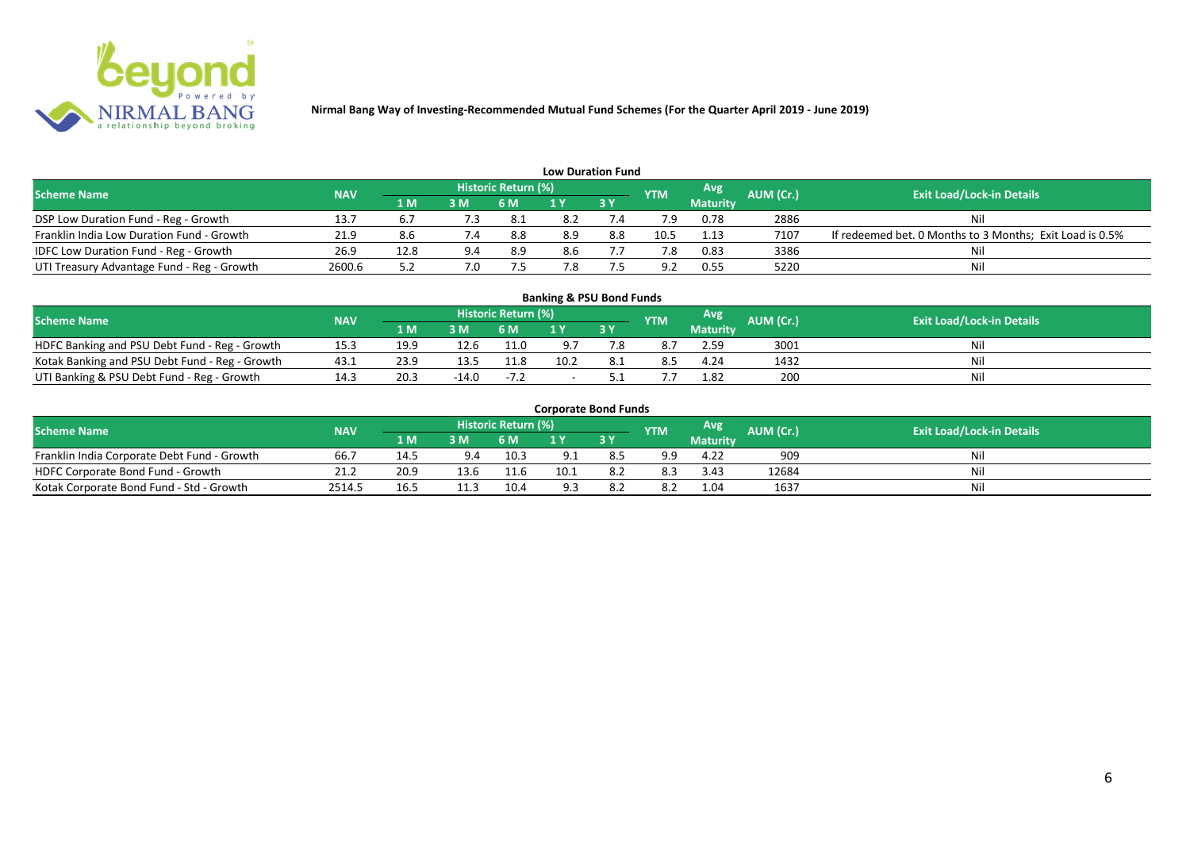

|                                              |            |      |     |                            |     | <b>Low Duration Fund</b> |            |                 |           |                                                          |
|----------------------------------------------|------------|------|-----|----------------------------|-----|--------------------------|------------|-----------------|-----------|----------------------------------------------------------|
| <b>Scheme Name</b>                           | <b>NAV</b> |      |     | <b>Historic Return (%)</b> |     |                          | <b>YTM</b> | Avg             | AUM (Cr.) | <b>Exit Load/Lock-in Details</b>                         |
|                                              |            | 1 M  | 3M  | <b>6 M</b>                 |     | <b>3Y</b>                |            | <b>Maturity</b> |           |                                                          |
| DSP Low Duration Fund - Reg - Growth         | 13.7       | 6.7  | 7.3 | -8.1                       | 8.2 | 7.4                      |            | 0.78            | 2886      | Nil                                                      |
| Franklin India Low Duration Fund - Growth    | 21.9       |      | 7.4 | 8.8                        | 8.9 | 8.8                      | 10.5       | 1.13            | 7107      | If redeemed bet. 0 Months to 3 Months; Exit Load is 0.5% |
| <b>IDFC Low Duration Fund - Reg - Growth</b> | 26.9       | 12.8 | 9.4 | 8.9                        | 8.6 |                          |            | 0.83            | 3386      | Nil                                                      |
| UTI Treasury Advantage Fund - Reg - Growth   | 2600.6     |      | 7.0 |                            | 1.8 |                          | ാ          | 0.55            | 5220      | Nil                                                      |

# **Banking & PSU Bond Funds**

| <b>Scheme Name</b>                             | <b>NAV</b> |      |       | <b>Historic Return (%)</b> |                |      | <b>YTM</b> | Avg             | <b>AUM (Cr.)</b> | <b>Exit Load/Lock-in Details</b> |
|------------------------------------------------|------------|------|-------|----------------------------|----------------|------|------------|-----------------|------------------|----------------------------------|
|                                                |            | 1 M. | 3 M   | 6 M                        | $\blacksquare$ |      |            | <b>Maturity</b> |                  |                                  |
| HDFC Banking and PSU Debt Fund - Reg - Growth  | 15.3       | 19.9 | 12.6  | 11.0                       |                |      |            | 2.59            | 3001             |                                  |
| Kotak Banking and PSU Debt Fund - Reg - Growth | 43.1       | 23.9 |       | 11.8                       | 10.2           | -8.1 | 8.5        | 4.24            | 1432             |                                  |
| UTI Banking & PSU Debt Fund - Reg - Growth     | 14.3       | 20.3 | -14.0 | $-7.2$                     |                |      |            | 1.82            | 200              |                                  |

#### **Corporate Bond Funds**

| Scheme Name                                 | <b>NAV</b> |      |     | <b>Historic Return (%)</b> |     |      | <b>YTM</b> | Avg             | AUM (Cr.). | <b>Exit Load/Lock-in Details</b> |
|---------------------------------------------|------------|------|-----|----------------------------|-----|------|------------|-----------------|------------|----------------------------------|
|                                             |            | 1 M' | 3 M |                            |     | 73 Y |            | <b>Maturity</b> |            |                                  |
| Franklin India Corporate Debt Fund - Growth | 66.7       | 14.5 | 9.4 | 10.3                       |     |      | -a q       | 4.22            | 909        | Ni                               |
| HDFC Corporate Bond Fund - Growth           | 21.2       | 20.9 |     | 11.6                       | 10. |      | 8.3        | 3.43            | 12684      | Nil                              |
| Kotak Corporate Bond Fund - Std - Growth    | 2514.      | 16.! |     | 10.4                       |     |      | 8.2        | 1.04            | 1637       | Ni                               |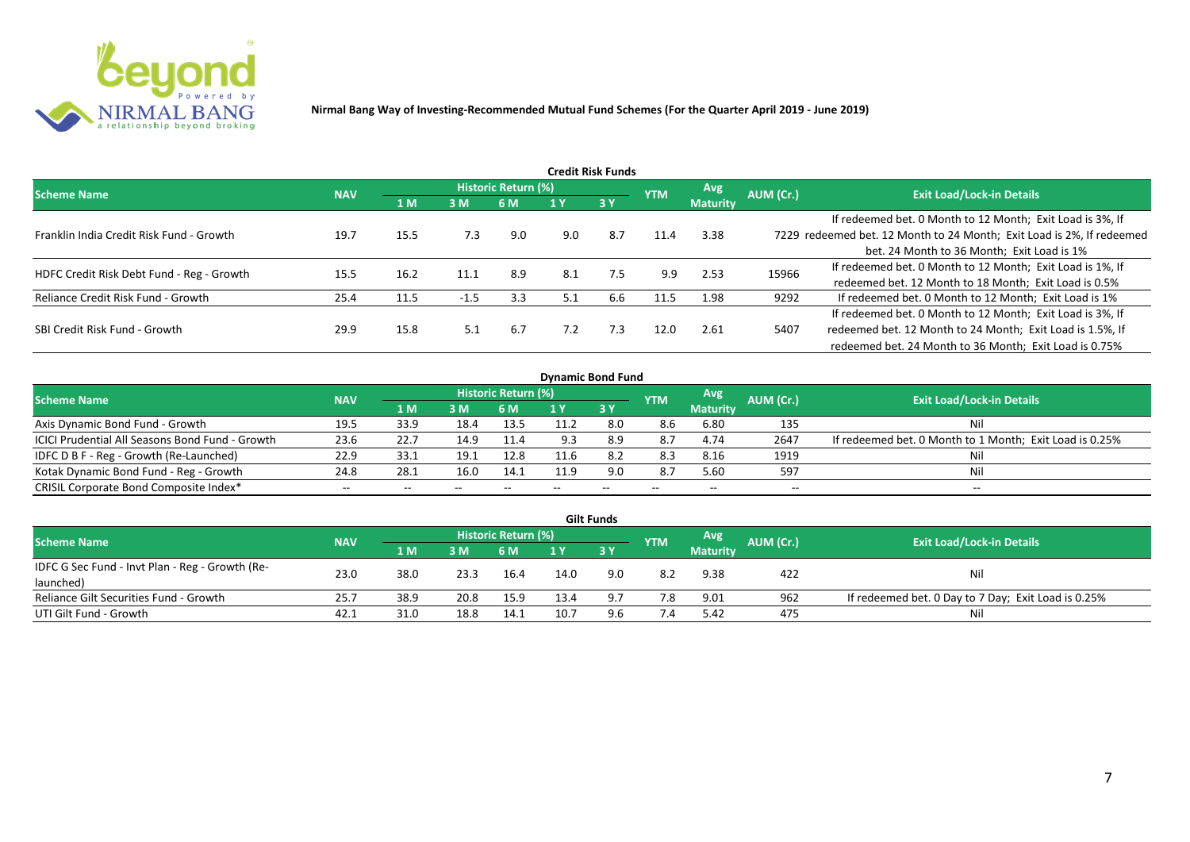

|                                           |            |      |        |                     |     | Credit Risk Funds |            |                 |           |                                                                       |
|-------------------------------------------|------------|------|--------|---------------------|-----|-------------------|------------|-----------------|-----------|-----------------------------------------------------------------------|
| <b>Scheme Name</b>                        | <b>NAV</b> |      |        | Historic Return (%) |     |                   | <b>YTM</b> | <b>Avg</b>      | AUM (Cr.) | <b>Exit Load/Lock-in Details</b>                                      |
|                                           |            | 1 M  | 3M     | 6 M                 |     | <b>3Y</b>         |            | <b>Maturity</b> |           |                                                                       |
|                                           |            |      |        |                     |     |                   |            |                 |           | If redeemed bet. 0 Month to 12 Month; Exit Load is 3%, If             |
| Franklin India Credit Risk Fund - Growth  | 19.7       | 15.5 | 7.3    | 9.0                 | 9.0 | 8.7               | 11.4       | 3.38            |           | 7229 redeemed bet. 12 Month to 24 Month; Exit Load is 2%, If redeemed |
|                                           |            |      |        |                     |     |                   |            |                 |           | bet. 24 Month to 36 Month; Exit Load is 1%                            |
| HDFC Credit Risk Debt Fund - Reg - Growth | 15.5       | 16.2 | 11.1   | 8.9                 | 8.1 | 7.5               | 9.9        | 2.53            | 15966     | If redeemed bet. 0 Month to 12 Month; Exit Load is 1%, If             |
|                                           |            |      |        |                     |     |                   |            |                 |           | redeemed bet. 12 Month to 18 Month; Exit Load is 0.5%                 |
| Reliance Credit Risk Fund - Growth        | 25.4       | 11.5 | $-1.5$ | 3.3                 | 5.1 | 6.6               | 11.5       | 1.98            | 9292      | If redeemed bet. 0 Month to 12 Month; Exit Load is 1%                 |
|                                           |            |      |        |                     |     |                   |            |                 |           | If redeemed bet. 0 Month to 12 Month; Exit Load is 3%, If             |
| SBI Credit Risk Fund - Growth             | 29.9       | 15.8 | 5.1    | 6.7                 | 7.2 | 7.3               | 12.0       | 2.61            | 5407      | redeemed bet. 12 Month to 24 Month; Exit Load is 1.5%, If             |
|                                           |            |      |        |                     |     |                   |            |                 |           | redeemed bet. 24 Month to 36 Month; Exit Load is 0.75%                |

| <b>Dynamic Bond Fund</b>                        |            |      |       |                            |     |       |            |                 |           |                                                         |  |  |  |  |
|-------------------------------------------------|------------|------|-------|----------------------------|-----|-------|------------|-----------------|-----------|---------------------------------------------------------|--|--|--|--|
| <b>Scheme Name</b>                              | <b>NAV</b> |      |       | <b>Historic Return (%)</b> |     |       | <b>YTM</b> | Avg             | AUM (Cr.) | <b>Exit Load/Lock-in Details</b>                        |  |  |  |  |
|                                                 |            | 1 M  | 3M    | 6 M                        |     | 3Y    |            | <b>Maturity</b> |           |                                                         |  |  |  |  |
| Axis Dynamic Bond Fund - Growth                 | 19.5       | 33.9 | 18.4  | 13.5                       |     | 8.0   | 8.6        | 6.80            | 135       | Nil                                                     |  |  |  |  |
| ICICI Prudential All Seasons Bond Fund - Growth | 23.6       | 22.7 | 14.9  | 11.4                       |     | 8.9   | 8.7        | 4.74            | 2647      | If redeemed bet. 0 Month to 1 Month; Exit Load is 0.25% |  |  |  |  |
| IDFC D B F - Reg - Growth (Re-Launched)         | 22.9       | 33.1 | 19.1  | 12.8                       |     | 8.2   | 8.3        | 8.16            | 1919      | Nil                                                     |  |  |  |  |
| Kotak Dynamic Bond Fund - Reg - Growth          | 24.8       | 28.1 | 16.0  | 14.1                       | 119 | 9.0   | 8.7        | 5.60            | 597       | Nil                                                     |  |  |  |  |
| CRISIL Corporate Bond Composite Index*          | $- -$      | --   | $- -$ |                            |     | $- -$ | $- -$      | --              | --        | $- -$                                                   |  |  |  |  |

|                                                 |            |      |      |                     |      | <b>Gilt Funds</b> |            |                 |           |                                                     |
|-------------------------------------------------|------------|------|------|---------------------|------|-------------------|------------|-----------------|-----------|-----------------------------------------------------|
| <b>Scheme Name</b>                              | <b>NAV</b> |      |      | Historic Return (%) |      |                   | <b>YTM</b> | Avg             | AUM (Cr.) | <b>Exit Load/Lock-in Details</b>                    |
|                                                 |            | 1 M  | 3 M  | 6 M.                | 1 Y  | 73 Y              |            | <b>Maturity</b> |           |                                                     |
| IDFC G Sec Fund - Invt Plan - Reg - Growth (Re- | 23.0       | 38.0 | 23.3 | 16.4                | 14.0 | 9.0               | 8.2        | 9.38            | 422       | Nil                                                 |
| launched)                                       |            |      |      |                     |      |                   |            |                 |           |                                                     |
| Reliance Gilt Securities Fund - Growth          | 25.7       | 38.9 | 20.8 | 15.9                | 13.4 |                   | 7.8        | 9.01            | 962       | If redeemed bet. 0 Day to 7 Day; Exit Load is 0.25% |
| UTI Gilt Fund - Growth                          | 42.1       | 31.0 | 18.8 | 14.1                | 10.7 | 9.6               | 7.4        | 5.42            | 475       | Nil                                                 |